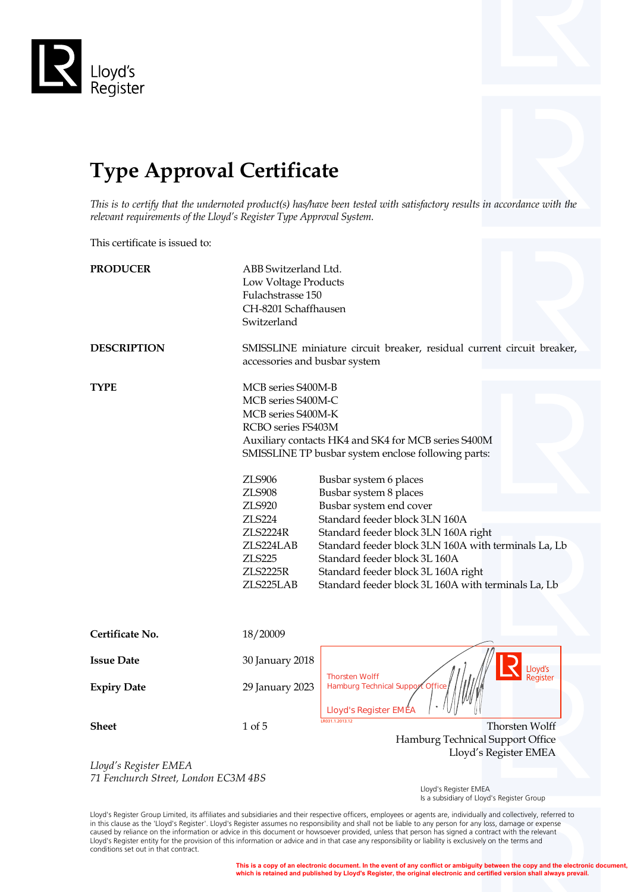

## **Type Approval Certificate**

*This is to certify that the undernoted product(s) has/have been tested with satisfactory results in accordance with the relevant requirements of the Lloyd's Register Type Approval System.*

This certificate is issued to:

| <b>PRODUCER</b><br><b>DESCRIPTION</b>                        | ABB Switzerland Ltd.<br>Low Voltage Products<br>Fulachstrasse 150<br>CH-8201 Schaffhausen<br>Switzerland<br>SMISSLINE miniature circuit breaker, residual current circuit breaker,<br>accessories and busbar system  |                                                                                                                                                                                                                                                                                                                                                                                                                                                            |  |
|--------------------------------------------------------------|----------------------------------------------------------------------------------------------------------------------------------------------------------------------------------------------------------------------|------------------------------------------------------------------------------------------------------------------------------------------------------------------------------------------------------------------------------------------------------------------------------------------------------------------------------------------------------------------------------------------------------------------------------------------------------------|--|
|                                                              |                                                                                                                                                                                                                      |                                                                                                                                                                                                                                                                                                                                                                                                                                                            |  |
| <b>TYPE</b>                                                  | MCB series S400M-B<br>MCB series S400M-C<br>MCB series S400M-K<br>RCBO series FS403M<br>ZLS906<br><b>ZLS908</b><br>ZLS920<br><b>ZLS224</b><br><b>ZLS2224R</b><br>ZLS224LAB<br>ZLS225<br><b>ZLS2225R</b><br>ZLS225LAB | Auxiliary contacts HK4 and SK4 for MCB series S400M<br>SMISSLINE TP busbar system enclose following parts:<br>Busbar system 6 places<br>Busbar system 8 places<br>Busbar system end cover<br>Standard feeder block 3LN 160A<br>Standard feeder block 3LN 160A right<br>Standard feeder block 3LN 160A with terminals La, Lb<br>Standard feeder block 3L 160A<br>Standard feeder block 3L 160A right<br>Standard feeder block 3L 160A with terminals La, Lb |  |
| Certificate No.                                              | 18/20009                                                                                                                                                                                                             |                                                                                                                                                                                                                                                                                                                                                                                                                                                            |  |
| <b>Issue Date</b>                                            | 30 January 2018                                                                                                                                                                                                      |                                                                                                                                                                                                                                                                                                                                                                                                                                                            |  |
| <b>Expiry Date</b>                                           | 29 January 2023                                                                                                                                                                                                      | Lloyd's<br>Register<br><b>Thorsten Wolff</b><br>Hamburg Technical Support Offic<br><b>Lloyd's Register EMEA</b>                                                                                                                                                                                                                                                                                                                                            |  |
| <b>Sheet</b>                                                 | 1 of 5                                                                                                                                                                                                               | R031.1.2013.12<br>Thorsten Wolff<br>Hamburg Technical Support Office<br>Lloyd's Register EMEA                                                                                                                                                                                                                                                                                                                                                              |  |
| Lloyd's Register EMEA<br>71 Fenchurch Street London FC3M ABS |                                                                                                                                                                                                                      |                                                                                                                                                                                                                                                                                                                                                                                                                                                            |  |

*71 Fenchurch Street, London EC3M 4BS*

 Lloyd's Register EMEA Is a subsidiary of Lloyd's Register Group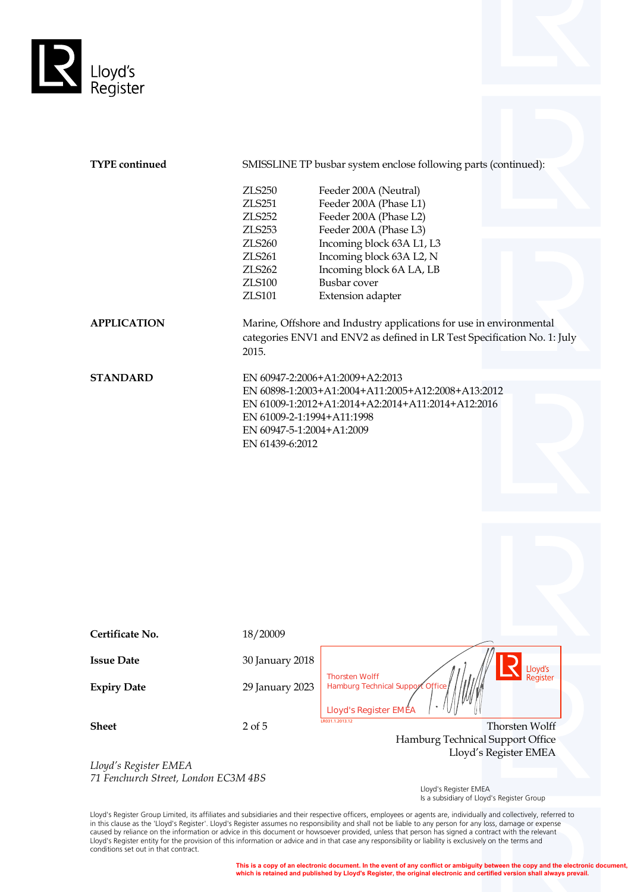

| <b>TYPE</b> continued                                       |                            | SMISSLINE TP busbar system enclose following parts (continued):                                                                                 |
|-------------------------------------------------------------|----------------------------|-------------------------------------------------------------------------------------------------------------------------------------------------|
|                                                             | <b>ZLS250</b>              | Feeder 200A (Neutral)                                                                                                                           |
|                                                             | <b>ZLS251</b>              | Feeder 200A (Phase L1)                                                                                                                          |
|                                                             | <b>ZLS252</b>              | Feeder 200A (Phase L2)                                                                                                                          |
|                                                             | <b>ZLS253</b>              | Feeder 200A (Phase L3)                                                                                                                          |
|                                                             | ZLS260                     | Incoming block 63A L1, L3                                                                                                                       |
|                                                             | ZLS261                     | Incoming block 63A L2, N                                                                                                                        |
|                                                             | <b>ZLS262</b>              | Incoming block 6A LA, LB                                                                                                                        |
|                                                             | <b>ZLS100</b>              | Busbar cover                                                                                                                                    |
|                                                             | ZLS101                     | Extension adapter                                                                                                                               |
|                                                             |                            |                                                                                                                                                 |
| <b>APPLICATION</b>                                          | 2015.                      | Marine, Offshore and Industry applications for use in environmental<br>categories ENV1 and ENV2 as defined in LR Test Specification No. 1: July |
| <b>STANDARD</b>                                             |                            | EN 60947-2:2006+A1:2009+A2:2013                                                                                                                 |
|                                                             |                            | EN 60898-1:2003+A1:2004+A11:2005+A12:2008+A13:2012                                                                                              |
|                                                             |                            | EN 61009-1:2012+A1:2014+A2:2014+A11:2014+A12:2016                                                                                               |
|                                                             | EN 61009-2-1:1994+A11:1998 |                                                                                                                                                 |
|                                                             | EN 60947-5-1:2004+A1:2009  |                                                                                                                                                 |
|                                                             | EN 61439-6:2012            |                                                                                                                                                 |
|                                                             |                            |                                                                                                                                                 |
|                                                             |                            |                                                                                                                                                 |
|                                                             |                            |                                                                                                                                                 |
| Certificate No.                                             | 18/20009                   |                                                                                                                                                 |
| <b>Issue Date</b>                                           | 30 January 2018            | Lloyd's                                                                                                                                         |
| <b>Expiry Date</b>                                          | 29 January 2023            | <b>Thorsten Wolff</b><br>Register<br>Hamburg Technical Support Office<br>Lloyd's Register EMEA                                                  |
| <b>Sheet</b>                                                | $2$ of $5$                 | LR031.1.2013.12<br><b>Thorsten Wolff</b>                                                                                                        |
|                                                             |                            | Hamburg Technical Support Office                                                                                                                |
|                                                             |                            | Lloyd's Register EMEA                                                                                                                           |
| Lloyd's Register EMEA<br>71 Equipment Ctreat London EC3MARS |                            |                                                                                                                                                 |

*71 Fenchurch Street, London EC3M 4BS*

 Lloyd's Register EMEA Is a subsidiary of Lloyd's Register Group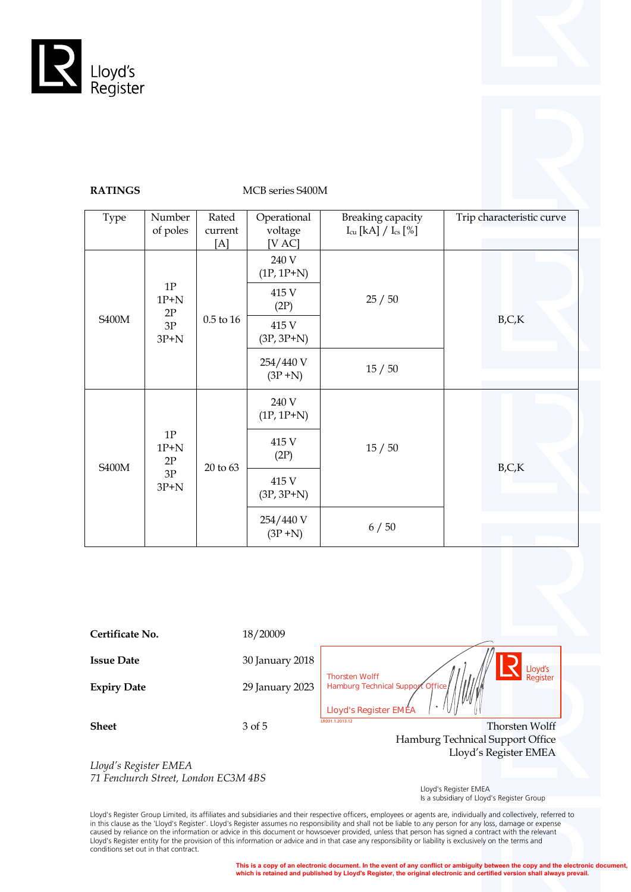

## **RATINGS** MCB series S400M

| Type                                                                                | Number<br>of poles                                         | Rated<br>current<br>[A] | Operational<br>voltage<br>[V AC] | Breaking capacity<br>$I_{cu}$ [kA] / $I_{cs}$ [%] | Trip characteristic curve |
|-------------------------------------------------------------------------------------|------------------------------------------------------------|-------------------------|----------------------------------|---------------------------------------------------|---------------------------|
| $1\mathrm{P}$<br>$1P+N$<br>2P                                                       |                                                            | 240 V<br>$(1P, 1P+N)$   |                                  |                                                   |                           |
|                                                                                     |                                                            | 415 V<br>(2P)           | 25/50                            |                                                   |                           |
|                                                                                     | <b>S400M</b><br>$0.5$ to $16\,$<br>$3\mathrm{P}$<br>$3P+N$ |                         | 415 V<br>$(3P, 3P+N)$            |                                                   | B, C, K                   |
|                                                                                     |                                                            | 254/440 V<br>$(3P+N)$   | 15/50                            |                                                   |                           |
| $1\mathrm{P}$<br>$1P+N$<br>$2\mathrm{P}$<br><b>S400M</b><br>$3\mathrm{P}$<br>$3P+N$ | 20 to 63                                                   | 240 V<br>$(1P, 1P+N)$   | 15/50                            |                                                   |                           |
|                                                                                     |                                                            | 415 V<br>(2P)           |                                  | B, C, K                                           |                           |
|                                                                                     |                                                            |                         | 415 V<br>$(3P, 3P+N)$            |                                                   |                           |
|                                                                                     |                                                            |                         | 254/440 V<br>$(3P+N)$            | 6/50                                              |                           |

**Certificate No.** 18/20009 **Issue Date** 30 January 2018 Lloyd's Thorsten Wolff<br>Hamburg Technical Support<br>**Lloyd's Register EMEA** keaistei **Expiry Date** 29 January 2023 **Sheet** 3 of 5 Thorsten Wolff Hamburg Technical Support Office Lloyd's Register EMEA *Lloyd's Register EMEA*

*71 Fenchurch Street, London EC3M 4BS*

 Lloyd's Register EMEA Is a subsidiary of Lloyd's Register Group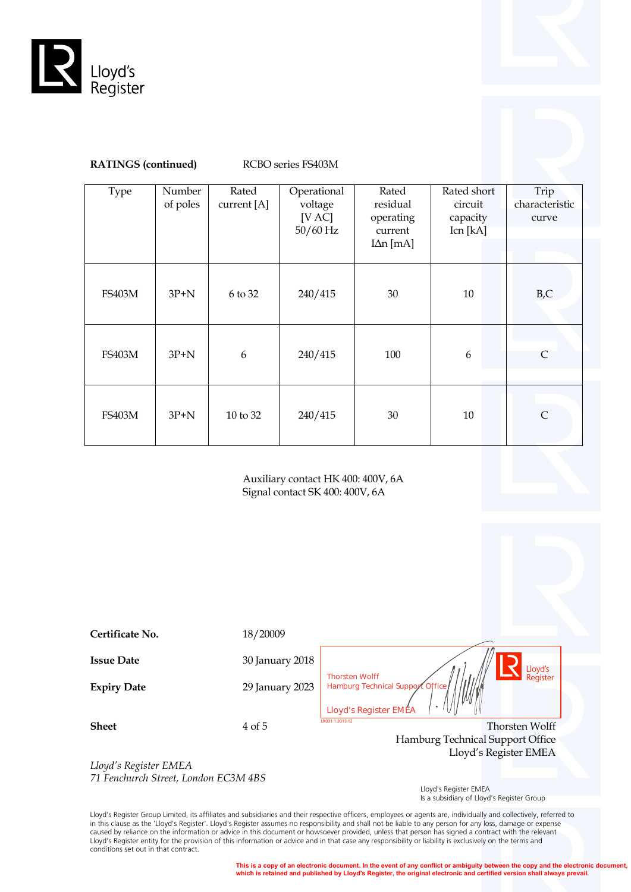



## **RATINGS (continued)** RCBO series FS403M

| Type          | Number<br>of poles | Rated<br>current [A] | Operational<br>voltage | Rated<br>residual    | Rated short<br>circuit | Trip<br>characteristic |
|---------------|--------------------|----------------------|------------------------|----------------------|------------------------|------------------------|
|               |                    |                      | [VAC]<br>$50/60$ Hz    | operating<br>current | capacity<br>Icn [kA]   | curve                  |
|               |                    |                      |                        | $IAn$ [mA]           |                        |                        |
| <b>FS403M</b> | $3P+N$             | 6 to 32              | 240/415                | 30                   | 10                     | $_{\rm B,C}$           |
| <b>FS403M</b> | $3P+N$             | 6                    | 240/415                | 100                  | 6                      | $\mathsf{C}$           |
| <b>FS403M</b> | $3P+N$             | 10 to 32             | 240/415                | $30\,$               | 10                     | $\mathsf{C}$           |

Auxiliary contact HK 400: 400V, 6A Signal contact SK 400: 400V, 6A

| Certificate No.                                               | 18/20009        |                                                                                                                  |
|---------------------------------------------------------------|-----------------|------------------------------------------------------------------------------------------------------------------|
| <b>Issue Date</b>                                             | 30 January 2018 |                                                                                                                  |
| <b>Expiry Date</b>                                            | 29 January 2023 | Lloyd's<br>Register<br><b>Thorsten Wolff</b><br>Hamburg Technical Support Office<br><b>Lloyd's Register EMEA</b> |
| <b>Sheet</b>                                                  | 4 of 5          | LR031.1.2013.12<br>Thorsten Wolff<br>Hamburg Technical Support Office<br>Lloyd's Register EMEA                   |
| Lloyd's Register EMEA<br>71 Fenchurch Street, London EC3M 4BS |                 |                                                                                                                  |

*71 Fenchurch Street, London EC3M 4BS*

 Lloyd's Register EMEA Is a subsidiary of Lloyd's Register Group